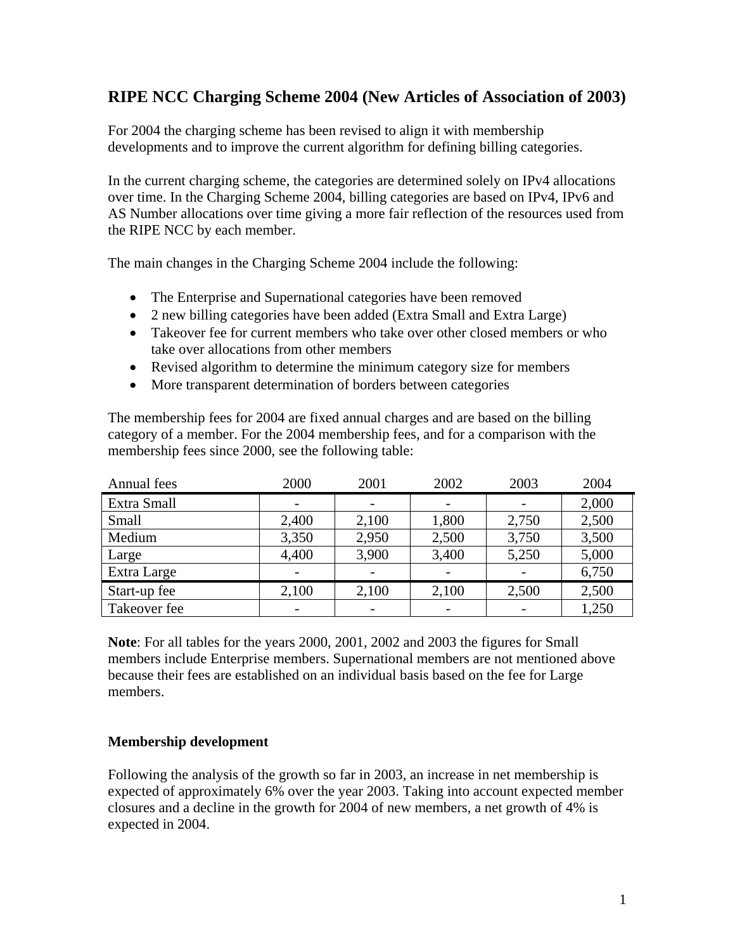# **RIPE NCC Charging Scheme 2004 (New Articles of Association of 2003)**

For 2004 the charging scheme has been revised to align it with membership developments and to improve the current algorithm for defining billing categories.

In the current charging scheme, the categories are determined solely on IPv4 allocations over time. In the Charging Scheme 2004, billing categories are based on IPv4, IPv6 and AS Number allocations over time giving a more fair reflection of the resources used from the RIPE NCC by each member.

The main changes in the Charging Scheme 2004 include the following:

- The Enterprise and Supernational categories have been removed
- 2 new billing categories have been added (Extra Small and Extra Large)
- Takeover fee for current members who take over other closed members or who take over allocations from other members
- Revised algorithm to determine the minimum category size for members
- More transparent determination of borders between categories

The membership fees for 2004 are fixed annual charges and are based on the billing category of a member. For the 2004 membership fees, and for a comparison with the membership fees since 2000, see the following table:

| Annual fees  | 2000                     | 2001  | 2002  | 2003  | 2004  |
|--------------|--------------------------|-------|-------|-------|-------|
| Extra Small  |                          |       |       |       | 2,000 |
| Small        | 2,400                    | 2,100 | 1,800 | 2,750 | 2,500 |
| Medium       | 3,350                    | 2,950 | 2,500 | 3,750 | 3,500 |
| Large        | 4,400                    | 3,900 | 3,400 | 5,250 | 5,000 |
| Extra Large  |                          |       |       |       | 6,750 |
| Start-up fee | 2,100                    | 2,100 | 2,100 | 2,500 | 2,500 |
| Takeover fee | $\overline{\phantom{0}}$ |       |       |       | 1,250 |

**Note**: For all tables for the years 2000, 2001, 2002 and 2003 the figures for Small members include Enterprise members. Supernational members are not mentioned above because their fees are established on an individual basis based on the fee for Large members.

## **Membership development**

Following the analysis of the growth so far in 2003, an increase in net membership is expected of approximately 6% over the year 2003. Taking into account expected member closures and a decline in the growth for 2004 of new members, a net growth of 4% is expected in 2004.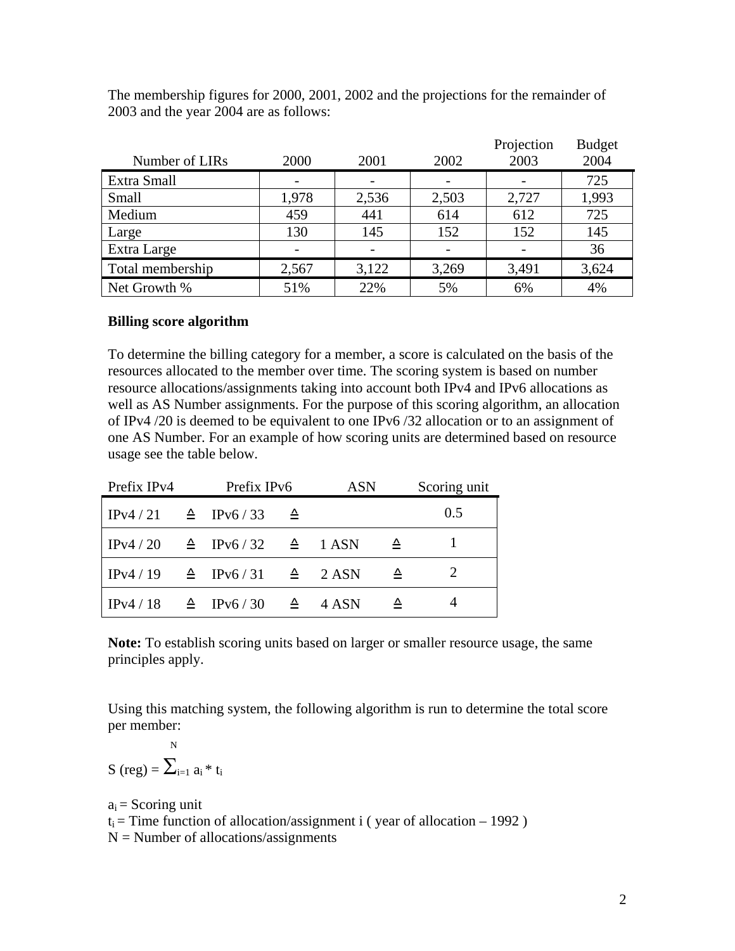|                  |       |       |       | Projection | <b>Budget</b> |
|------------------|-------|-------|-------|------------|---------------|
| Number of LIRs   | 2000  | 2001  | 2002  | 2003       | 2004          |
| Extra Small      |       |       |       |            | 725           |
| Small            | 1,978 | 2,536 | 2,503 | 2,727      | 1,993         |
| Medium           | 459   | 441   | 614   | 612        | 725           |
| Large            | 130   | 145   | 152   | 152        | 145           |
| Extra Large      |       |       |       |            | 36            |
| Total membership | 2,567 | 3,122 | 3,269 | 3,491      | 3,624         |
| Net Growth %     | 51%   | 22%   | 5%    | 6%         | 4%            |

The membership figures for 2000, 2001, 2002 and the projections for the remainder of 2003 and the year 2004 are as follows:

### **Billing score algorithm**

To determine the billing category for a member, a score is calculated on the basis of the resources allocated to the member over time. The scoring system is based on number resource allocations/assignments taking into account both IPv4 and IPv6 allocations as well as AS Number assignments. For the purpose of this scoring algorithm, an allocation of IPv4 /20 is deemed to be equivalent to one IPv6 /32 allocation or to an assignment of one AS Number. For an example of how scoring units are determined based on resource usage see the table below.

| Prefix IPv4                                                         | Prefix IPv6 |             | <b>ASN</b> |   | Scoring unit |
|---------------------------------------------------------------------|-------------|-------------|------------|---|--------------|
| IPv4/21 $\triangle$ IPv6/33                                         |             | $\triangle$ |            |   | 0.5          |
| $\text{IPv4}/20 \triangleq \text{IPv6}/32 \triangleq 1 \text{ ASN}$ |             |             |            | ᅀ |              |
| IPv4/19 $\triangle$ IPv6/31 $\triangle$ 2ASN                        |             |             |            | ᅀ |              |
| IPv4/18 $\triangle$ IPv6/30 $\triangle$                             |             |             | 4 ASN      | ᅀ |              |

**Note:** To establish scoring units based on larger or smaller resource usage, the same principles apply.

Using this matching system, the following algorithm is run to determine the total score per member:

$$
S\ (reg) = \sum\nolimits_{i=1}^N\, a_i\, {}^*\, t_i
$$

 $a_i$  = Scoring unit  $t_i$  = Time function of allocation/assignment i (year of allocation – 1992)  $N =$  Number of allocations/assignments